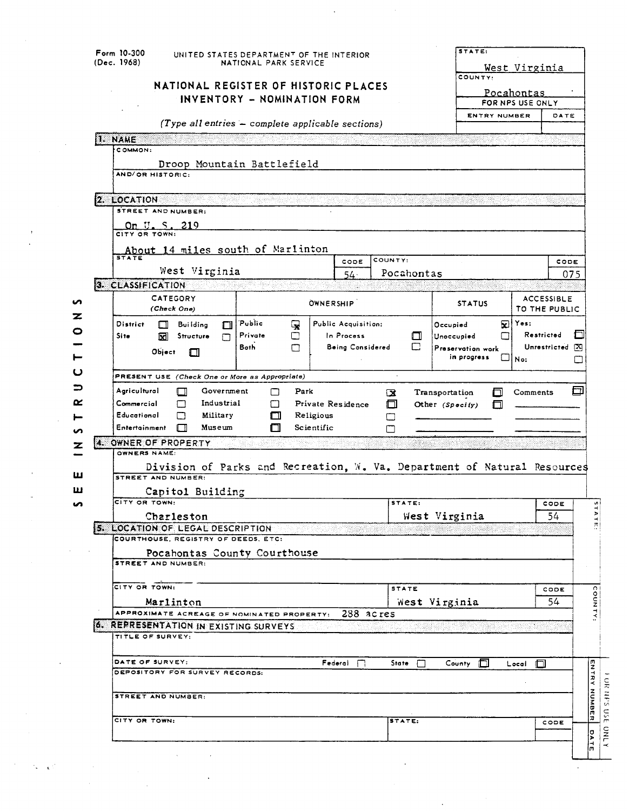| Form 10-300<br>(Dec. 1968) |                                                                          | UNITED STATES DEPARTMENT OF THE INTERIOR<br>NATIONAL PARK SERVICE |                  |                     |                        | STATE:            | West Virginia                         |                   |                         |
|----------------------------|--------------------------------------------------------------------------|-------------------------------------------------------------------|------------------|---------------------|------------------------|-------------------|---------------------------------------|-------------------|-------------------------|
|                            | NATIONAL REGISTER OF HISTORIC PLACES                                     | INVENTORY - NOMINATION FORM                                       |                  |                     |                        | COUNTY:           | <u>Pocahontas</u><br>FOR NPS USE ONLY |                   |                         |
|                            | $(\textit{Type all entries - complete applicable sections})$             |                                                                   |                  |                     |                        | ENTRY NUMBER      |                                       | DATE              |                         |
| 1. NAME                    |                                                                          |                                                                   |                  |                     |                        |                   |                                       |                   |                         |
|                            | COMMON:                                                                  |                                                                   |                  |                     |                        |                   |                                       |                   |                         |
|                            | Droop Mountain Battlefield                                               |                                                                   |                  |                     |                        |                   |                                       |                   |                         |
|                            | AND/OR HISTORIC:                                                         |                                                                   |                  |                     |                        |                   |                                       |                   |                         |
|                            |                                                                          |                                                                   |                  |                     |                        |                   |                                       |                   |                         |
|                            | <b>2. LOCATION</b>                                                       |                                                                   |                  |                     |                        |                   |                                       |                   |                         |
|                            | STREET AND NUMBER:                                                       |                                                                   |                  |                     |                        |                   |                                       |                   |                         |
|                            | On U.S. 219<br>CITY OR TOWN:                                             |                                                                   |                  |                     |                        |                   |                                       |                   |                         |
|                            |                                                                          |                                                                   |                  |                     |                        |                   |                                       |                   |                         |
|                            | About 14 miles south of Marlinton<br>$\overline{\text{STATE}}$           |                                                                   |                  | CODE                | COUNTY:                |                   |                                       | CODE              |                         |
|                            | West Virginia                                                            |                                                                   |                  | $54 -$              | Pocahontas             |                   |                                       |                   | 075                     |
|                            | 3. CLASSIFICATION                                                        |                                                                   |                  |                     |                        |                   |                                       |                   |                         |
|                            | CATEGORY                                                                 |                                                                   |                  |                     |                        |                   |                                       | <b>ACCESSIBLE</b> |                         |
|                            | (Check One)                                                              |                                                                   | <b>OWNERSHIP</b> |                     |                        | <b>STATUS</b>     |                                       | TO THE PUBLIC     |                         |
|                            | <b>District</b><br><b>Building</b><br>$\Box$<br>П                        | Public<br>Q                                                       |                  | Public Acquisition: |                        | Ð<br>Occupied     | Yes:                                  |                   |                         |
|                            | <b>Site</b><br>Structure<br>ष्टा                                         | Private<br>□                                                      |                  | In Process          | □                      | ┌<br>Unoccupied   |                                       | Restricted        | □                       |
|                            | Object<br>П                                                              | <b>Both</b><br>П                                                  |                  | Being Considered    | m.                     | Preservation work |                                       | Unrestricted      | ⊠                       |
|                            |                                                                          |                                                                   |                  |                     |                        | in progress       | l No:                                 |                   | □                       |
|                            | PRESENT USE (Check One or More as Appropriate)                           |                                                                   |                  |                     |                        |                   |                                       |                   |                         |
|                            |                                                                          |                                                                   |                  |                     |                        |                   |                                       |                   |                         |
|                            | Agricultural<br>Government<br>$\Box$                                     | Park<br>П                                                         |                  |                     |                        | Transportation    | Comments                              |                   | ⊡                       |
|                            | Commercial<br>Industrial<br>П                                            | П                                                                 |                  | Private Residence   | $\mathbf{\Omega}$<br>⊓ | Other $(Specify)$ |                                       |                   |                         |
|                            | Educational<br>□<br>Military                                             | П                                                                 | Religious        |                     | □                      |                   |                                       |                   |                         |
|                            | Entertainment<br>Museum<br>П                                             | ⊓                                                                 | Scientific       |                     | М                      |                   |                                       |                   |                         |
|                            | 4. OWNER OF PROPERTY                                                     |                                                                   |                  |                     |                        |                   |                                       |                   |                         |
|                            | OWNERS NAME:                                                             |                                                                   |                  |                     |                        |                   |                                       |                   |                         |
|                            | Division of Parks and Recreation, W. Va. Department of Natural Resources |                                                                   |                  |                     |                        |                   |                                       |                   |                         |
|                            | <b>STREET AND NUMBER:</b>                                                |                                                                   |                  |                     |                        |                   |                                       |                   |                         |
|                            | Capitol Building                                                         |                                                                   |                  |                     |                        |                   |                                       |                   |                         |
|                            | CITY OR TOWN:                                                            |                                                                   |                  |                     | STATE:                 |                   |                                       | CODE              |                         |
|                            | Charleston                                                               |                                                                   |                  |                     |                        | West Virginia     |                                       | 54                |                         |
|                            | 5. LOCATION OF LEGAL DESCRIPTION<br>COURTHOUSE, REGISTRY OF DEEDS, ETC:  |                                                                   |                  |                     |                        |                   |                                       |                   |                         |
|                            | Pocahontas County Courthouse                                             |                                                                   |                  |                     |                        |                   |                                       |                   |                         |
|                            | <b>STREET AND NUMBER:</b>                                                |                                                                   |                  |                     |                        |                   |                                       |                   |                         |
|                            |                                                                          |                                                                   |                  |                     |                        |                   |                                       |                   |                         |
|                            | CITY OR TOWN:                                                            |                                                                   |                  |                     | <b>STATE</b>           |                   |                                       | CODE              |                         |
|                            | Marlinton                                                                |                                                                   |                  |                     |                        | West Virginia     |                                       | 54                |                         |
|                            | APPROXIMATE ACREAGE OF NOMINATED PROPERTY:                               |                                                                   |                  | 288 acres           |                        |                   |                                       |                   |                         |
|                            | 6. REPRESENTATION IN EXISTING SURVEYS<br>TITLE OF SURVEY:                |                                                                   |                  |                     |                        |                   |                                       |                   |                         |
|                            |                                                                          |                                                                   |                  |                     |                        |                   |                                       |                   |                         |
|                            | DATE OF SURVEY:                                                          |                                                                   |                  |                     |                        |                   |                                       |                   |                         |
|                            | DEPOSITORY FOR SURVEY RECORDS:                                           |                                                                   |                  | $Federal$ $\Box$    | State $\Box$           | ПI<br>County      | Local<br>ПI                           |                   | η                       |
|                            |                                                                          |                                                                   |                  |                     |                        |                   |                                       |                   |                         |
|                            | <b>STREET AND NUMBER:</b>                                                |                                                                   |                  |                     |                        |                   |                                       |                   |                         |
|                            |                                                                          |                                                                   |                  |                     |                        |                   |                                       |                   |                         |
|                            | CITY OR TOWN:                                                            |                                                                   |                  |                     | STATE:                 |                   |                                       | CODE              | TRY NUMBER<br><b>DA</b> |

 $\ddot{\phantom{0}}$ 

 $\bar{z}$ 

J,

 $\mathbf{t}^{(1)}$ ŀ,

 $\ddot{\phantom{0}}$ 

 $\cdot$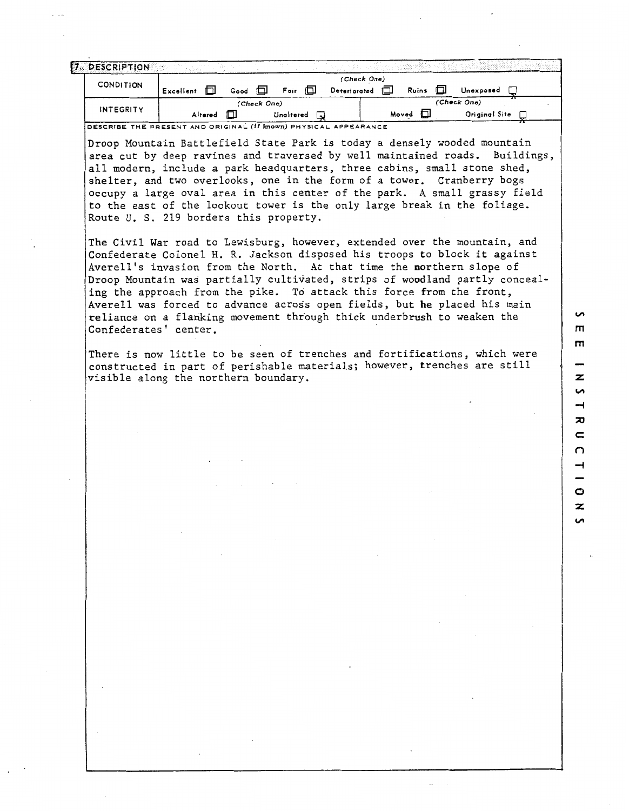| 7. DESCRIPTION   |           |         |      |             |                |              |             |       |       |    |               |  |
|------------------|-----------|---------|------|-------------|----------------|--------------|-------------|-------|-------|----|---------------|--|
|                  |           |         |      |             |                |              | (Check One) |       |       |    |               |  |
| <b>CONDITION</b> | Excellent | m       | Good |             | ΠI<br>Fair     | Deteriorated |             | m     | Ruins | ПI | Unexposed     |  |
|                  |           |         |      | (Check One) |                |              |             |       |       |    | (Check One)   |  |
| <b>INTEGRITY</b> |           | Altered | ſΠ   |             | つ<br>Unaltered |              |             | Moved |       |    | Original Site |  |

**7**  DESCRIBE THE PRESENT AND ORIGINAL **(If b70R'TI)** PHYSICAL APPEARANCE

Droop Mountain Battlefield State Park is today a densely wooded mountain area cut by deep ravines and traversed by well maintained roads. Buildings, all modern, include a park headquarters, three cabins, small stone shed, shelter, and two overlooks, one in the form of a tower. Cranberry bogs occupy a large oval area in this center of the park. **A** small grassy field to the east of the lookout tower is the only large break in the foliage. Route U. S. 219 borders this property.

The Civil War road to Lewisburg, however, extended over the mountain, and Confederate Colonel H. R. Jackson disposed his troops to block it against Averell's invasion from the North. At that time the northern slope of Droop Mountain was partially cultivated, strips of woodland partly concealing the approach from the pike. To attack this force from the front, Averell was forced to advance across open fields, but he placed his main reliance on a flanking movement through thick underbrush to weaken the Confederates' center.

There is now little to be seen of trenches and fortifications, which were constructed in part of perishable materials; however, trenches are still visible along the northern boundary.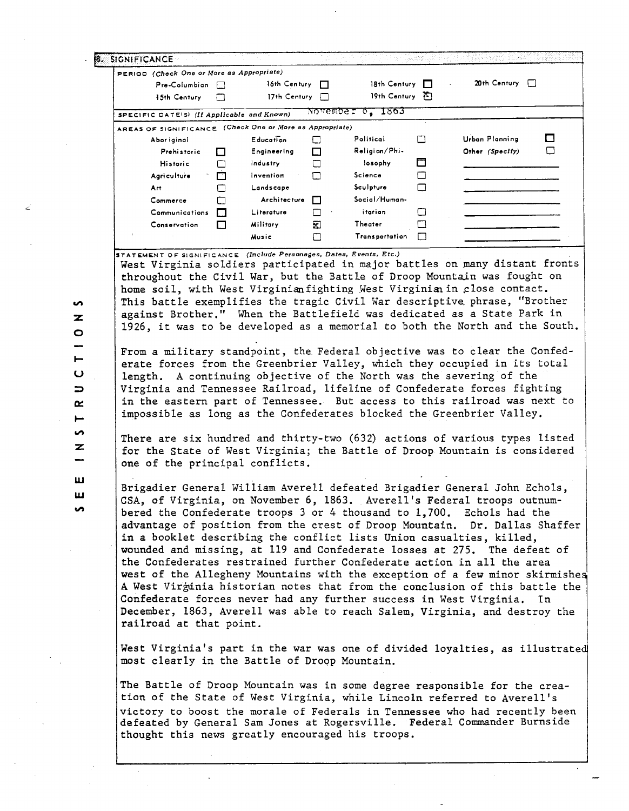| <b>8. SIGNIFICANCE</b>                                              |                                 |                 |                     |        |                                                                                                                                                           |        |                                   |                |        |
|---------------------------------------------------------------------|---------------------------------|-----------------|---------------------|--------|-----------------------------------------------------------------------------------------------------------------------------------------------------------|--------|-----------------------------------|----------------|--------|
| PERIOD (Check One or More as Appropriate)                           | Pre-Columbian<br>$\overline{1}$ |                 | 16th Century D      |        | 18th Century $\Box$                                                                                                                                       |        |                                   | 20th Century [ |        |
| 15th Century                                                        | П                               |                 | 17th Century $\Box$ |        | 19th Century F                                                                                                                                            |        |                                   |                |        |
|                                                                     |                                 |                 |                     |        | November 6, 1863                                                                                                                                          |        |                                   |                |        |
| SPECIFIC DATE(S) (If Applicable and Known)                          |                                 |                 |                     |        |                                                                                                                                                           |        |                                   |                |        |
| AREAS OF SIGNIFICANCE (Check One or More as Appropriate)            |                                 |                 |                     |        | Political                                                                                                                                                 |        |                                   |                |        |
| Abor iginal                                                         | Prehistoric                     |                 | <b>Education</b>    | □      | Religion/Phi-                                                                                                                                             | □      | Urban Planning<br>Other (Specify) |                | ப<br>□ |
| <b>Historic</b>                                                     | П                               | Industry        | Engineering         | □<br>□ | losophy                                                                                                                                                   | □      |                                   |                |        |
| Agriculture                                                         | П<br>⊡                          |                 | Invention           | П      | Science                                                                                                                                                   | □      |                                   |                |        |
| Art.                                                                | П                               |                 | Landscape           |        | Sculpture                                                                                                                                                 | $\Box$ |                                   |                |        |
| Commerce                                                            | □                               |                 | Architecture        | П      | Social/Human-                                                                                                                                             |        |                                   |                |        |
|                                                                     | Communications<br>$\Box$        |                 | Literature          | ⊓      | itarian                                                                                                                                                   | □      |                                   |                |        |
| Conservation                                                        | П                               | <b>Military</b> |                     | 囷      | Theater                                                                                                                                                   | □      |                                   |                |        |
|                                                                     |                                 | Music           |                     | П      | <b>Transportation</b>                                                                                                                                     | П      |                                   |                |        |
| STATEMENT OF SIGNIFICANCE (Include Personages, Dates, Events, Etc.) |                                 |                 |                     |        |                                                                                                                                                           |        |                                   |                |        |
|                                                                     |                                 |                 |                     |        | 1926, it was to be developed as a memorial to both the North and the South.<br>From a military standpoint, the Federal objective was to clear the Confed- |        |                                   |                |        |
|                                                                     |                                 |                 |                     |        |                                                                                                                                                           |        |                                   |                |        |
|                                                                     |                                 |                 |                     |        | erate forces from the Greenbrier Valley, which they occupied in its total                                                                                 |        |                                   |                |        |
|                                                                     |                                 |                 |                     |        | length. A continuing objective of the North was the severing of the                                                                                       |        |                                   |                |        |
|                                                                     |                                 |                 |                     |        | Virginia and Tennessee Railroad, lifeline of Confederate forces fighting                                                                                  |        |                                   |                |        |
|                                                                     |                                 |                 |                     |        | in the eastern part of Tennessee. But access to this railroad was next to                                                                                 |        |                                   |                |        |
|                                                                     |                                 |                 |                     |        | impossible as long as the Confederates blocked the Greenbrier Valley.                                                                                     |        |                                   |                |        |
|                                                                     |                                 |                 |                     |        |                                                                                                                                                           |        |                                   |                |        |
|                                                                     |                                 |                 |                     |        | There are six hundred and thirty-two (632) actions of various types listed                                                                                |        |                                   |                |        |
|                                                                     |                                 |                 |                     |        | for the State of West Virginia; the Battle of Droop Mountain is considered                                                                                |        |                                   |                |        |
| one of the principal conflicts.                                     |                                 |                 |                     |        |                                                                                                                                                           |        |                                   |                |        |
|                                                                     |                                 |                 |                     |        |                                                                                                                                                           |        |                                   |                |        |
|                                                                     |                                 |                 |                     |        | Brigadier General William Averell defeated Brigadier General John Echols                                                                                  |        |                                   |                |        |
|                                                                     |                                 |                 |                     |        | CSA, of Virginia, on November 6, 1863. Averell's Federal troops outnum-                                                                                   |        |                                   |                |        |
|                                                                     |                                 |                 |                     |        | bered the Confederate troops 3 or 4 thousand to 1,700. Echols had the                                                                                     |        |                                   |                |        |
|                                                                     |                                 |                 |                     |        | advantage of position from the crest of Droop Mountain. Dr. Dallas Shaffer<br>in a booklet describing the conflict lists Union casualties, killed,        |        |                                   |                |        |
|                                                                     |                                 |                 |                     |        | wounded and missing, at 119 and Confederate losses at 275. The defeat of                                                                                  |        |                                   |                |        |
|                                                                     |                                 |                 |                     |        | the Confederates restrained further Confederate action in all the area                                                                                    |        |                                   |                |        |
|                                                                     |                                 |                 |                     |        | west of the Allegheny Mountains with the exception of a few minor skirmishes                                                                              |        |                                   |                |        |
|                                                                     |                                 |                 |                     |        | A West Virginia historian notes that from the conclusion of this battle the                                                                               |        |                                   |                |        |
|                                                                     |                                 |                 |                     |        | Confederate forces never had any further success in West Virginia. In                                                                                     |        |                                   |                |        |
|                                                                     |                                 |                 |                     |        | December, 1863, Averell was able to reach Salem, Virginia, and destroy the                                                                                |        |                                   |                |        |
| railroad at that point.                                             |                                 |                 |                     |        |                                                                                                                                                           |        |                                   |                |        |
|                                                                     |                                 |                 |                     |        |                                                                                                                                                           |        |                                   |                |        |
|                                                                     |                                 |                 |                     |        | West Virginia's part in the war was one of divided loyalties, as illustrated                                                                              |        |                                   |                |        |
| most clearly in the Battle of Droop Mountain.                       |                                 |                 |                     |        |                                                                                                                                                           |        |                                   |                |        |
|                                                                     |                                 |                 |                     |        |                                                                                                                                                           |        |                                   |                |        |
|                                                                     |                                 |                 |                     |        | The Battle of Droop Mountain was in some degree responsible for the crea-                                                                                 |        |                                   |                |        |
|                                                                     |                                 |                 |                     |        | tion of the State of West Virginia, while Lincoln referred to Averell's                                                                                   |        |                                   |                |        |
|                                                                     |                                 |                 |                     |        | victory to boost the morale of Federals in Tennessee who had recently been<br>defeated by General Sam Jones at Rogersville. Federal Commander Burnside    |        |                                   |                |        |

Ź

 $\frac{1}{2}$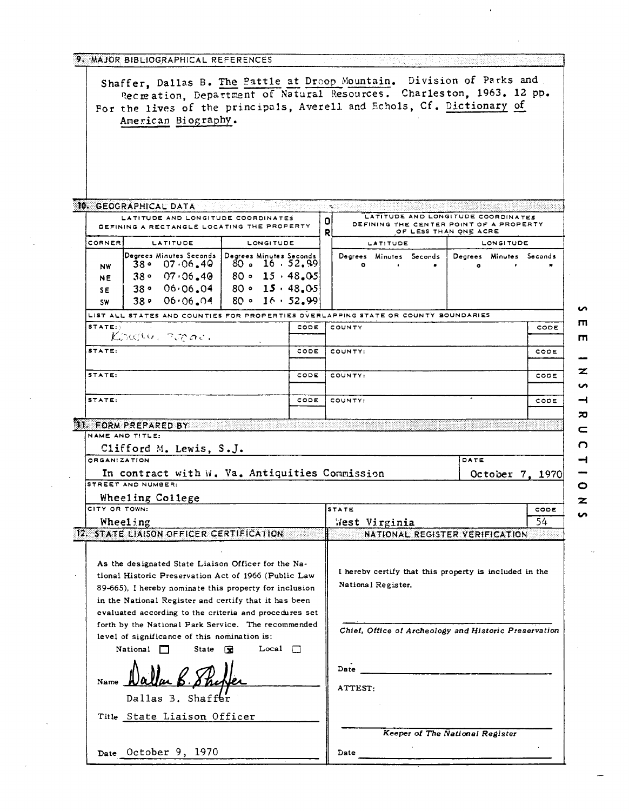| 9. MAJOR BIBLIOGRAPHICAL REFERENCES                                                                                                                                                                                                                                               |      |         |           |                    |                         |                                                                  |                 |
|-----------------------------------------------------------------------------------------------------------------------------------------------------------------------------------------------------------------------------------------------------------------------------------|------|---------|-----------|--------------------|-------------------------|------------------------------------------------------------------|-----------------|
| Shaffer, Dallas B. The Battle at Droop Mountain. Division of Parks and<br>Recreation, Department of Natural Resources. Charleston, 1963. 12 pp.<br>For the lives of the principals, Averell and Echols, Cf. Dictionary of<br>American Biography.                                  |      |         |           |                    |                         |                                                                  |                 |
| 10. GEOGRAPHICAL DATA                                                                                                                                                                                                                                                             |      |         |           |                    |                         |                                                                  |                 |
| LATITUDE AND LONGITUDE COORDINATES                                                                                                                                                                                                                                                |      |         |           |                    |                         | LATITUDE AND LONGITUDE COORDINATES                               |                 |
| DEFINING A RECTANGLE LOCATING THE PROPERTY                                                                                                                                                                                                                                        |      | OI<br>R |           |                    |                         | DEFINING THE CENTER POINT OF A PROPERTY<br>OF LESS THAN ONE ACRE |                 |
| <b>CORNER</b><br>LATITUDE<br>LONGITUDE                                                                                                                                                                                                                                            |      |         |           | <b>LATITUDE</b>    |                         | <b>LONGITUDE</b>                                                 |                 |
| Degrees Minutes Seconds Degrees Minutes Seconds<br>$  80$ s 16, 52, 99<br>$38 \cdot 07 \cdot 06.49$<br><b>NW</b><br>$80 \cdot 15 \cdot 48.05$<br>38°07.06.40<br>NE<br>$38°06.06.04$ 80 ° 15 · 48.05<br><b>SE</b><br>$80 \cdot 16 \cdot 52.99$<br>$38.06 \cdot 06.04$<br><b>SW</b> |      |         | $\bullet$ |                    | Degrees Minutes Seconds | Degrees Minutes Seconds                                          |                 |
| LIST ALL STATES AND COUNTIES FOR PROPERTIES OVERLAPPING STATE OR COUNTY BOUNDARIES                                                                                                                                                                                                |      |         |           |                    |                         |                                                                  |                 |
| STATE:<br>Koully, zopac.                                                                                                                                                                                                                                                          | CODE |         | COUNTY    |                    |                         |                                                                  | ш<br>CODE       |
| STATE:                                                                                                                                                                                                                                                                            | CODE |         | COUNTY:   |                    |                         |                                                                  | m<br>CODE       |
| STATE:                                                                                                                                                                                                                                                                            | CODE |         | COUNTY:   |                    |                         |                                                                  | z<br>CODE<br>n  |
| STATE:                                                                                                                                                                                                                                                                            | CODE |         | COUNTY:   |                    |                         |                                                                  | CODE<br>ᅍ       |
| 11. FORM PREPARED BY                                                                                                                                                                                                                                                              |      |         |           |                    |                         |                                                                  |                 |
| NAME AND TITLE:                                                                                                                                                                                                                                                                   |      |         |           |                    |                         |                                                                  | n               |
| Clifford M. Lewis, S.J.<br>ORGANIZATION                                                                                                                                                                                                                                           |      |         |           |                    |                         | DATE                                                             |                 |
| In contract with W. Va. Antiquities Commission                                                                                                                                                                                                                                    |      |         |           |                    |                         |                                                                  | October 7, 1970 |
| STREET AND NUMBER:                                                                                                                                                                                                                                                                |      |         |           |                    |                         |                                                                  | o               |
| Wheeling College                                                                                                                                                                                                                                                                  |      |         |           |                    |                         |                                                                  | z               |
| CITY OR TOWN:                                                                                                                                                                                                                                                                     |      |         | STATE     |                    |                         |                                                                  | CODE<br>ທ       |
| Wheeling<br>12. STATE LIAISON OFFICER CERTIFICATION                                                                                                                                                                                                                               |      |         |           | West Virginia      |                         |                                                                  | 54              |
|                                                                                                                                                                                                                                                                                   |      |         |           |                    |                         | NATIONAL REGISTER VERIFICATION                                   |                 |
| As the designated State Liaison Officer for the Na-<br>tional Historic Preservation Act of 1966 (Public Law<br>89-665), I hereby nominate this property for inclusion<br>in the National Register and certify that it has been                                                    |      |         |           | National Register. |                         | I hereby certify that this property is included in the           |                 |
| evaluated according to the criteria and procedures set<br>forth by the National Park Service. The recommended<br>level of significance of this nomination is:<br>Local $\Box$<br>National $\Box$<br>State $\mathbb{R}$                                                            |      |         |           |                    |                         | Chief, Office of Archeology and Historic Preservation            |                 |
| Dallas B. Shaffer                                                                                                                                                                                                                                                                 |      |         | ATTEST:   |                    |                         |                                                                  |                 |
| Title State Liaison Officer                                                                                                                                                                                                                                                       |      |         |           |                    |                         | Keeper of The National Register                                  |                 |
| Date October 9, 1970                                                                                                                                                                                                                                                              |      |         | Date      |                    |                         |                                                                  |                 |

 $\frac{1}{2}$ 

 $\mathbb{Z}^2$ 

 $\ddot{\phantom{a}}$ 

 $\ddot{\phantom{a}}$ 

 $\blacksquare$  $\overline{\phantom{0}}$  $\overline{\mathbf{z}}$  $\bullet$  $\rightarrow$  $\overline{\mathbf{z}}$  $\overline{\phantom{0}}$  $\overline{c}$  $\begin{array}{c}\n1 \\
1\n\end{array}$  $rac{z}{\infty}$ 

 $\ddot{\phi}$ 

 $\hat{\boldsymbol{\epsilon}}$ 

 $\bar{\mathcal{A}}$ 

 $\frac{1}{2}$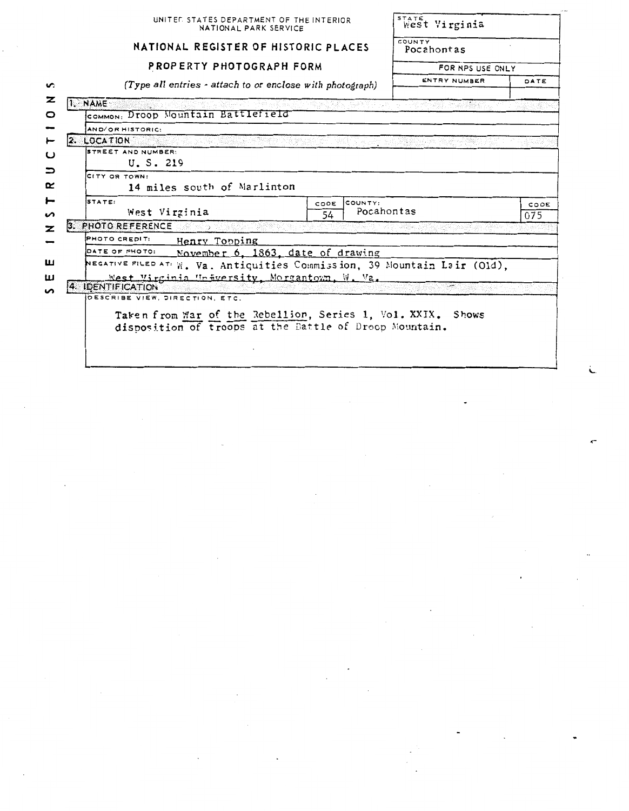|                                                                                                                       | UNITED STATES DEPARTMENT OF THE INTERIOR<br>NATIONAL PARK SERVICE |            |      |  |  |
|-----------------------------------------------------------------------------------------------------------------------|-------------------------------------------------------------------|------------|------|--|--|
| NATIONAL REGISTER OF HISTORIC PLACES                                                                                  | COUNTY<br>Pocahontas                                              |            |      |  |  |
|                                                                                                                       | PROPERTY PHOTOGRAPH FORM                                          |            |      |  |  |
|                                                                                                                       | (Type all entries - attach to or enclose with photograph)         |            |      |  |  |
| I. NAME                                                                                                               |                                                                   |            |      |  |  |
| COMMON: Droop Mountain Battlefield                                                                                    |                                                                   |            |      |  |  |
| AND/OR HISTORIC:                                                                                                      |                                                                   |            |      |  |  |
| 2. LOCATION                                                                                                           |                                                                   |            |      |  |  |
| STREET AND NUMBER:                                                                                                    |                                                                   |            |      |  |  |
| U.S. 219                                                                                                              |                                                                   |            |      |  |  |
|                                                                                                                       |                                                                   |            |      |  |  |
| CITY OR TOWN:                                                                                                         |                                                                   |            |      |  |  |
| 14 miles south of Marlinton                                                                                           |                                                                   |            |      |  |  |
| STATE:                                                                                                                | COUNTY:<br>CODE                                                   |            |      |  |  |
| West Virginia                                                                                                         | 54                                                                | Pocahontas | 075  |  |  |
| 3. PHOTO REFERENCE<br>rt shi 1950an 19                                                                                |                                                                   |            |      |  |  |
| PHOTO CREDIT:                                                                                                         |                                                                   |            |      |  |  |
| Henry Topping<br>DATE OF PHOTO:                                                                                       |                                                                   |            |      |  |  |
|                                                                                                                       | November 6, 1863, date of drawing                                 |            |      |  |  |
| NEGATIVE FILED AT: W. Va. Antiquities Commission, 39 Mountain Lair (Old),                                             |                                                                   |            |      |  |  |
| West Virginia University, Morgantown, W. Va.<br>4. IDENTIFICATION                                                     |                                                                   |            |      |  |  |
| DESCRIBE VIEW, DIRECTION, ETC.                                                                                        |                                                                   |            |      |  |  |
|                                                                                                                       |                                                                   |            |      |  |  |
| Taken from War of the Rebellion, Series 1, Vol. XXIX. Shows<br>disposition of troops at the Battle of Droop Mountain. |                                                                   |            | CODE |  |  |

 $\label{eq:2} \frac{1}{2} \sum_{i=1}^n \frac{1}{2} \sum_{j=1}^n \frac{1}{2} \sum_{j=1}^n \frac{1}{2} \sum_{j=1}^n \frac{1}{2} \sum_{j=1}^n \frac{1}{2} \sum_{j=1}^n \frac{1}{2} \sum_{j=1}^n \frac{1}{2} \sum_{j=1}^n \frac{1}{2} \sum_{j=1}^n \frac{1}{2} \sum_{j=1}^n \frac{1}{2} \sum_{j=1}^n \frac{1}{2} \sum_{j=1}^n \frac{1}{2} \sum_{j=1}^n \frac{1}{$ 

 $\sim$ 

 $\sim$ 

 $\mathcal{O}(\mathcal{O})$ 

 $\mathbb{R}$ 

 $\hat{\boldsymbol{\beta}}$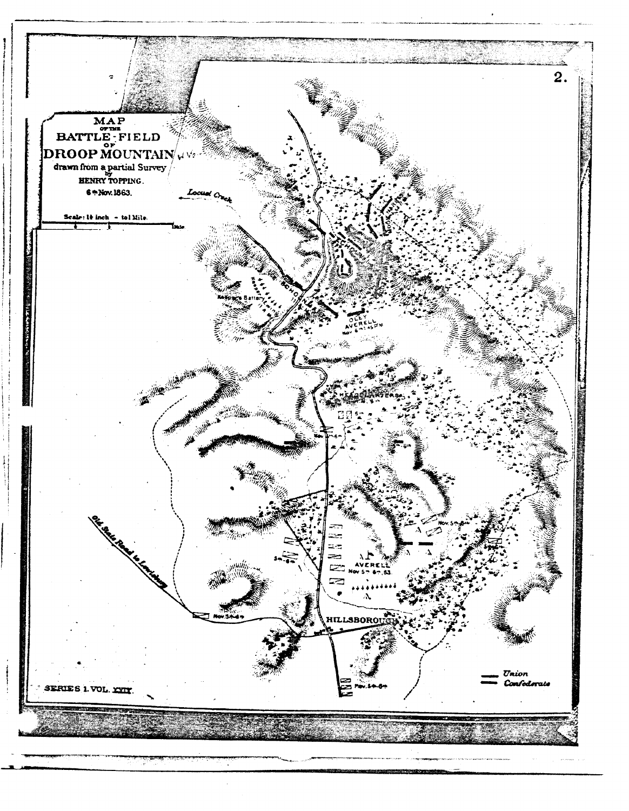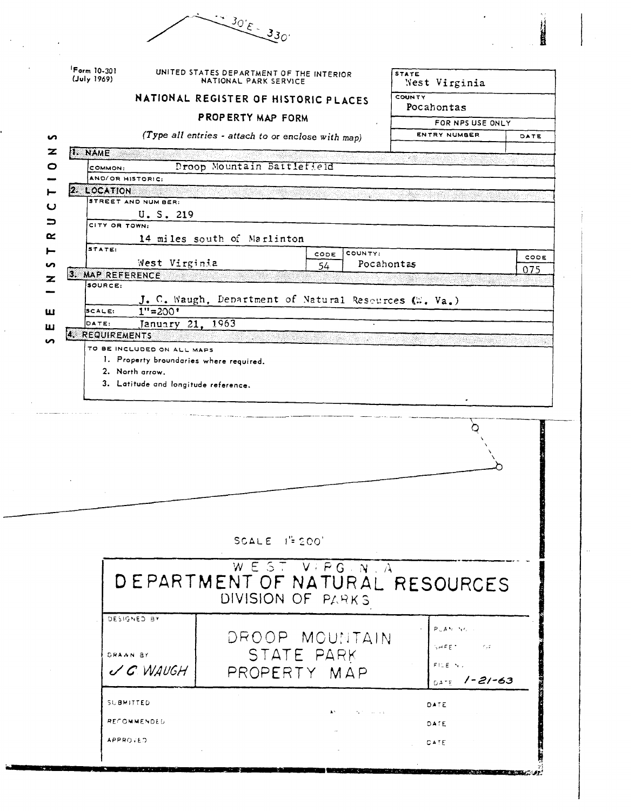|                            |                                                                                          | $30E - 330$                                                            |            |                       |                                                                                              |      |
|----------------------------|------------------------------------------------------------------------------------------|------------------------------------------------------------------------|------------|-----------------------|----------------------------------------------------------------------------------------------|------|
| Form 10-301<br>(July 1969) |                                                                                          | UNITED STATES DEPARTMENT OF THE INTERIOR<br>NATIONAL PARK SERVICE      |            |                       | <b>STATE</b><br>West Virginia                                                                |      |
|                            |                                                                                          | NATIONAL REGISTER OF HISTORIC PLACES                                   |            |                       | <b>COUNTY</b><br>Pocahontas                                                                  |      |
|                            |                                                                                          | PROPERTY MAP FORM                                                      |            |                       | FOR NPS USE ONLY                                                                             |      |
| ഗ                          |                                                                                          | (Type all entries - attach to or enclose with map)                     |            |                       | <b>ENTRY NUMBER</b>                                                                          | DATE |
| z<br><b>I. NAME</b>        |                                                                                          |                                                                        |            |                       |                                                                                              |      |
| o                          | COMMON:<br>AND/OR HISTORIC:                                                              | Droop Mountain Battlefield                                             |            |                       |                                                                                              |      |
|                            | <b>2. LOCATION</b>                                                                       |                                                                        |            |                       |                                                                                              |      |
| ပ                          | <b>STREET AND NUM BER:</b><br>U.S. 219                                                   |                                                                        |            |                       |                                                                                              |      |
| ⊃                          | CITY OR TOWN:                                                                            |                                                                        |            |                       |                                                                                              |      |
| ≃                          | STATE:                                                                                   | 14 miles south of Marlinton                                            |            |                       |                                                                                              |      |
| n                          | West Virginia                                                                            |                                                                        | CODE<br>54 | COUNTY:<br>Pocahontas |                                                                                              | CODE |
| z                          | 3. MAP REFERENCE                                                                         |                                                                        |            |                       |                                                                                              | 075  |
|                            | SOURCE:                                                                                  | J. C. Waugh, Department of Natural Resources (W. Va.)                  |            |                       |                                                                                              |      |
| ш                          | $1" = 200"$<br>SCALE:                                                                    |                                                                        |            |                       |                                                                                              |      |
| ш                          | January 21, 1963<br>DATE:<br>4. REQUIREMENTS                                             |                                                                        |            |                       |                                                                                              |      |
|                            | TO BE INCLUDED ON ALL MAPS<br>1. Property broundaries where required.<br>2. North arrow. |                                                                        |            |                       |                                                                                              |      |
|                            | 3. Latitude and longitude reference.                                                     |                                                                        |            |                       |                                                                                              |      |
|                            |                                                                                          |                                                                        |            |                       |                                                                                              |      |
|                            |                                                                                          | SCALE $I^{\prime\prime}$ 200'                                          |            |                       |                                                                                              |      |
|                            |                                                                                          | WEST VIPG N. A<br>DEPARTMENT OF NATURAL RESOURCES<br>DIVISION OF PARKS |            |                       |                                                                                              |      |
|                            | DESIGNED BY<br>DRAAN BY<br>$\vee$ C WAUGH                                                | DROOP MOUNTAIN<br>STATE PARK<br>PROPERTY MAP                           |            |                       | $P \subseteq A \cong \neg \forall (C_1, \ldots)$<br>SHEET OF CA<br>FILE NU<br>$0477$ /-21-63 |      |
|                            | SUBMITTED<br><b>RECOMMENDED</b><br><b>APPROVED</b>                                       |                                                                        |            | April 1990 and        | DATE<br>DATE<br><b>CATE</b>                                                                  |      |

 $\hat{\mathcal{L}}$